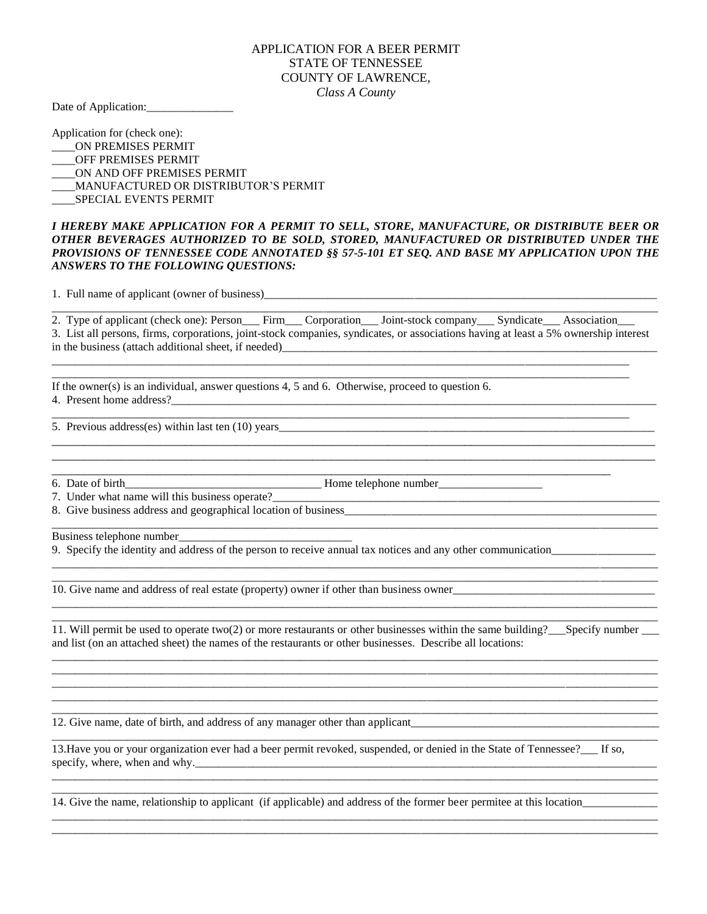## APPLICATION FOR A BEER PERMIT STATE OF TENNESSEE COUNTY OF LAWRENCE, *Class A County*

Date of Application:\_\_\_\_\_\_\_\_\_\_\_\_\_\_\_

Application for (check one):

\_\_\_\_ON PREMISES PERMIT

- \_\_\_\_OFF PREMISES PERMIT
- ON AND OFF PREMISES PERMIT
- \_\_\_\_MANUFACTURED OR DISTRIBUTOR'S PERMIT
- \_\_\_\_SPECIAL EVENTS PERMIT

## *I HEREBY MAKE APPLICATION FOR A PERMIT TO SELL, STORE, MANUFACTURE, OR DISTRIBUTE BEER OR OTHER BEVERAGES AUTHORIZED TO BE SOLD, STORED, MANUFACTURED OR DISTRIBUTED UNDER THE PROVISIONS OF TENNESSEE CODE ANNOTATED §§ 57-5-101 ET SEQ. AND BASE MY APPLICATION UPON THE ANSWERS TO THE FOLLOWING QUESTIONS:*

1. Full name of applicant (owner of business)\_\_\_\_\_\_\_\_\_\_\_\_\_\_\_\_\_\_\_\_\_\_\_\_\_\_\_\_\_\_\_\_\_\_\_\_\_\_\_\_\_\_\_\_\_\_\_\_\_\_\_\_\_\_\_\_\_\_\_\_\_\_\_\_\_\_\_\_

2. Type of applicant (check one): Person Firm Corporation Joint-stock company Syndicate Association 3. List all persons, firms, corporations, joint-stock companies, syndicates, or associations having at least a 5% ownership interest in the business (attach additional sheet, if needed)\_\_\_\_\_\_\_\_\_\_\_\_\_\_\_\_\_\_\_\_\_\_\_\_\_\_\_\_\_\_\_\_\_\_\_\_\_\_\_\_\_\_\_\_\_\_\_\_\_\_\_\_\_\_\_\_\_\_\_\_\_\_\_\_\_

\_\_\_\_\_\_\_\_\_\_\_\_\_\_\_\_\_\_\_\_\_\_\_\_\_\_\_\_\_\_\_\_\_\_\_\_\_\_\_\_\_\_\_\_\_\_\_\_\_\_\_\_\_\_\_\_\_\_\_\_\_\_\_\_\_\_\_\_\_\_\_\_\_\_\_\_\_\_\_\_\_\_\_\_\_\_\_\_\_\_\_\_\_\_\_

\_\_\_\_\_\_\_\_\_\_\_\_\_\_\_\_\_\_\_\_\_\_\_\_\_\_\_\_\_\_\_\_\_\_\_\_\_\_\_\_\_\_\_\_\_\_\_\_\_\_\_\_\_\_\_\_\_\_\_\_\_\_\_\_\_\_\_\_\_\_\_\_\_\_\_\_\_\_\_\_\_\_\_\_\_\_\_\_

\_\_\_\_\_\_\_\_\_\_\_\_\_\_\_\_\_\_\_\_\_\_\_\_\_\_\_\_\_\_\_\_\_\_\_\_\_\_\_\_\_\_\_\_\_\_\_\_\_\_\_\_\_\_\_\_\_\_\_\_\_\_\_\_\_\_\_\_\_\_\_\_\_\_\_\_\_\_\_\_\_\_\_\_\_\_\_\_\_\_\_\_\_\_\_\_\_\_\_\_ \_\_\_\_\_\_\_\_\_\_\_\_\_\_\_\_\_\_\_\_\_\_\_\_\_\_\_\_\_\_\_\_\_\_\_\_\_\_\_\_\_\_\_\_\_\_\_\_\_\_\_\_\_\_\_\_\_\_\_\_\_\_\_\_\_\_\_\_\_\_\_\_\_\_\_\_\_\_\_\_\_\_\_\_\_\_\_\_\_\_\_\_\_\_\_\_\_\_\_\_

\_\_\_\_\_\_\_\_\_\_\_\_\_\_\_\_\_\_\_\_\_\_\_\_\_\_\_\_\_\_\_\_\_\_\_\_\_\_\_\_\_\_\_\_\_\_\_\_\_\_\_\_\_\_\_\_\_\_\_\_\_\_\_\_\_\_\_\_\_\_\_\_\_\_\_\_\_\_\_\_\_\_\_\_\_\_\_\_\_\_\_\_\_\_\_\_\_\_\_\_\_\_\_\_\_

If the owner(s) is an individual, answer questions 4, 5 and 6. Otherwise, proceed to question 6. 4. Present home address?

\_\_\_\_\_\_\_\_\_\_\_\_\_\_\_\_\_\_\_\_\_\_\_\_\_\_\_\_\_\_\_\_\_\_\_\_\_\_\_\_\_\_\_\_\_\_\_\_\_\_\_\_\_\_\_\_\_\_\_\_\_\_\_\_\_\_\_\_\_\_\_\_\_\_\_\_\_\_\_\_\_\_\_\_\_\_\_\_\_\_\_\_\_\_\_\_\_\_\_\_

5. Previous address(es) within last ten (10) years

6. Date of birth\_\_\_\_\_\_\_\_\_\_\_\_\_\_\_\_\_\_\_\_\_\_\_\_\_\_\_\_\_\_\_\_\_\_ Home telephone number\_\_\_\_\_\_\_\_\_\_\_\_\_\_\_\_\_\_

7. Under what name will this business operate?

8. Give business address and geographical location of business\_\_\_\_\_\_\_\_\_\_\_\_\_\_\_\_\_\_\_\_\_\_\_\_\_\_\_\_\_\_\_\_\_\_\_\_\_\_\_\_\_\_\_\_\_\_\_\_\_\_\_\_\_\_ \_\_\_\_\_\_\_\_\_\_\_\_\_\_\_\_\_\_\_\_\_\_\_\_\_\_\_\_\_\_\_\_\_\_\_\_\_\_\_\_\_\_\_\_\_\_\_\_\_\_\_\_\_\_\_\_\_\_\_\_\_\_\_\_\_\_\_\_\_\_\_\_\_\_\_\_\_\_\_\_\_\_\_\_\_\_\_\_\_\_\_\_\_\_\_\_\_\_\_\_\_\_\_\_\_

Business telephone number

9. Specify the identity and address of the person to receive annual tax notices and any other communication\_\_\_\_\_\_\_\_\_\_\_\_\_\_\_\_\_\_

10. Give name and address of real estate (property) owner if other than business owner\_\_\_\_\_\_\_\_\_\_\_\_\_\_\_\_\_\_\_\_\_\_\_\_\_\_\_\_\_\_\_\_\_\_\_

\_\_\_\_\_\_\_\_\_\_\_\_\_\_\_\_\_\_\_\_\_\_\_\_\_\_\_\_\_\_\_\_\_\_\_\_\_\_\_\_\_\_\_\_\_\_\_\_\_\_\_\_\_\_\_\_\_\_\_\_\_\_\_\_\_\_\_\_\_\_\_\_\_\_\_\_\_\_\_\_\_\_\_\_\_\_\_\_\_\_\_\_\_\_\_\_\_\_\_\_\_\_\_\_\_ 11. Will permit be used to operate two(2) or more restaurants or other businesses within the same building? Specify number and list (on an attached sheet) the names of the restaurants or other businesses. Describe all locations: \_\_\_\_\_\_\_\_\_\_\_\_\_\_\_\_\_\_\_\_\_\_\_\_\_\_\_\_\_\_\_\_\_\_\_\_\_\_\_\_\_\_\_\_\_\_\_\_\_\_\_\_\_\_\_\_\_\_\_\_\_\_\_\_\_\_\_\_\_\_\_\_\_\_\_\_\_\_\_\_\_\_\_\_\_\_\_\_\_\_\_\_\_\_\_\_\_\_\_\_\_\_\_\_\_

\_\_\_\_\_\_\_\_\_\_\_\_\_\_\_\_\_\_\_\_\_\_\_\_\_\_\_\_\_\_\_\_\_\_\_\_\_\_\_\_\_\_\_\_\_\_\_\_\_\_\_\_\_\_\_\_\_\_\_\_\_\_\_\_\_\_\_\_\_\_\_\_\_\_\_\_\_\_\_\_\_\_\_\_\_\_\_\_\_\_\_\_\_\_\_\_\_\_\_\_\_\_\_\_\_ \_\_\_\_\_\_\_\_\_\_\_\_\_\_\_\_\_\_\_\_\_\_\_\_\_\_\_\_\_\_\_\_\_\_\_\_\_\_\_\_\_\_\_\_\_\_\_\_\_\_\_\_\_\_\_\_\_\_\_\_\_\_\_\_\_\_\_\_\_\_\_\_\_\_\_\_\_\_\_\_\_\_\_\_\_\_\_\_\_\_\_\_\_\_\_\_\_\_\_\_\_\_\_\_\_ \_\_\_\_\_\_\_\_\_\_\_\_\_\_\_\_\_\_\_\_\_\_\_\_\_\_\_\_\_\_\_\_\_\_\_\_\_\_\_\_\_\_\_\_\_\_\_\_\_\_\_\_\_\_\_\_\_\_\_\_\_\_\_\_\_\_\_\_\_\_\_\_\_\_\_\_\_\_\_\_\_\_\_\_\_\_\_\_\_\_\_\_\_\_\_\_\_\_\_\_\_\_\_\_\_ \_\_\_\_\_\_\_\_\_\_\_\_\_\_\_\_\_\_\_\_\_\_\_\_\_\_\_\_\_\_\_\_\_\_\_\_\_\_\_\_\_\_\_\_\_\_\_\_\_\_\_\_\_\_\_\_\_\_\_\_\_\_\_\_\_\_\_\_\_\_\_\_\_\_\_\_\_\_\_\_\_\_\_\_\_\_\_\_\_\_\_\_\_\_\_\_\_\_\_\_\_\_\_\_\_

\_\_\_\_\_\_\_\_\_\_\_\_\_\_\_\_\_\_\_\_\_\_\_\_\_\_\_\_\_\_\_\_\_\_\_\_\_\_\_\_\_\_\_\_\_\_\_\_\_\_\_\_\_\_\_\_\_\_\_\_\_\_\_\_\_\_\_\_\_\_\_\_\_\_\_\_\_\_\_\_\_\_\_\_\_\_\_\_\_\_\_\_\_\_\_\_\_\_\_\_\_\_\_\_\_

\_\_\_\_\_\_\_\_\_\_\_\_\_\_\_\_\_\_\_\_\_\_\_\_\_\_\_\_\_\_\_\_\_\_\_\_\_\_\_\_\_\_\_\_\_\_\_\_\_\_\_\_\_\_\_\_\_\_\_\_\_\_\_\_\_\_\_\_\_\_\_\_\_\_\_\_\_\_\_\_\_\_\_\_\_\_\_\_\_\_\_\_\_\_\_\_\_\_\_\_\_\_\_\_\_ \_\_\_\_\_\_\_\_\_\_\_\_\_\_\_\_\_\_\_\_\_\_\_\_\_\_\_\_\_\_\_\_\_\_\_\_\_\_\_\_\_\_\_\_\_\_\_\_\_\_\_\_\_\_\_\_\_\_\_\_\_\_\_\_\_\_\_\_\_\_\_\_\_\_\_\_\_\_\_\_\_\_\_\_\_\_\_\_\_\_\_\_\_\_\_\_\_\_\_\_\_\_\_\_\_

\_\_\_\_\_\_\_\_\_\_\_\_\_\_\_\_\_\_\_\_\_\_\_\_\_\_\_\_\_\_\_\_\_\_\_\_\_\_\_\_\_\_\_\_\_\_\_\_\_\_\_\_\_\_\_\_\_\_\_\_\_\_\_\_\_\_\_\_\_\_\_\_\_\_\_\_\_\_\_\_\_\_\_\_\_\_\_\_\_\_\_\_\_\_\_\_\_\_\_\_\_\_\_\_\_ \_\_\_\_\_\_\_\_\_\_\_\_\_\_\_\_\_\_\_\_\_\_\_\_\_\_\_\_\_\_\_\_\_\_\_\_\_\_\_\_\_\_\_\_\_\_\_\_\_\_\_\_\_\_\_\_\_\_\_\_\_\_\_\_\_\_\_\_\_\_\_\_\_\_\_\_\_\_\_\_\_\_\_\_\_\_\_\_\_\_\_\_\_\_\_\_\_\_\_\_\_\_\_\_\_

\_\_\_\_\_\_\_\_\_\_\_\_\_\_\_\_\_\_\_\_\_\_\_\_\_\_\_\_\_\_\_\_\_\_\_\_\_\_\_\_\_\_\_\_\_\_\_\_\_\_\_\_\_\_\_\_\_\_\_\_\_\_\_\_\_\_\_\_\_\_\_\_\_\_\_\_\_\_\_\_\_\_\_\_\_\_\_\_\_\_\_\_\_\_\_\_\_\_\_\_\_\_\_\_\_

\_\_\_\_\_\_\_\_\_\_\_\_\_\_\_\_\_\_\_\_\_\_\_\_\_\_\_\_\_\_\_\_\_\_\_\_\_\_\_\_\_\_\_\_\_\_\_\_\_\_\_\_\_\_\_\_\_\_\_\_\_\_\_\_\_\_\_\_\_\_\_\_\_\_\_\_\_\_\_\_\_\_\_\_\_\_\_\_\_\_\_\_\_\_\_\_\_\_\_\_\_\_\_\_\_

12. Give name, date of birth, and address of any manager other than applicant\_\_\_\_\_\_\_\_\_\_\_\_\_\_\_\_\_\_\_\_\_\_\_\_\_\_\_\_\_\_\_\_\_\_\_\_\_\_\_\_\_\_\_

13. Have you or your organization ever had a beer permit revoked, suspended, or denied in the State of Tennessee? If so, specify, where, when and why.

14. Give the name, relationship to applicant (if applicable) and address of the former beer permitee at this location\_\_\_\_\_\_\_\_\_\_\_\_\_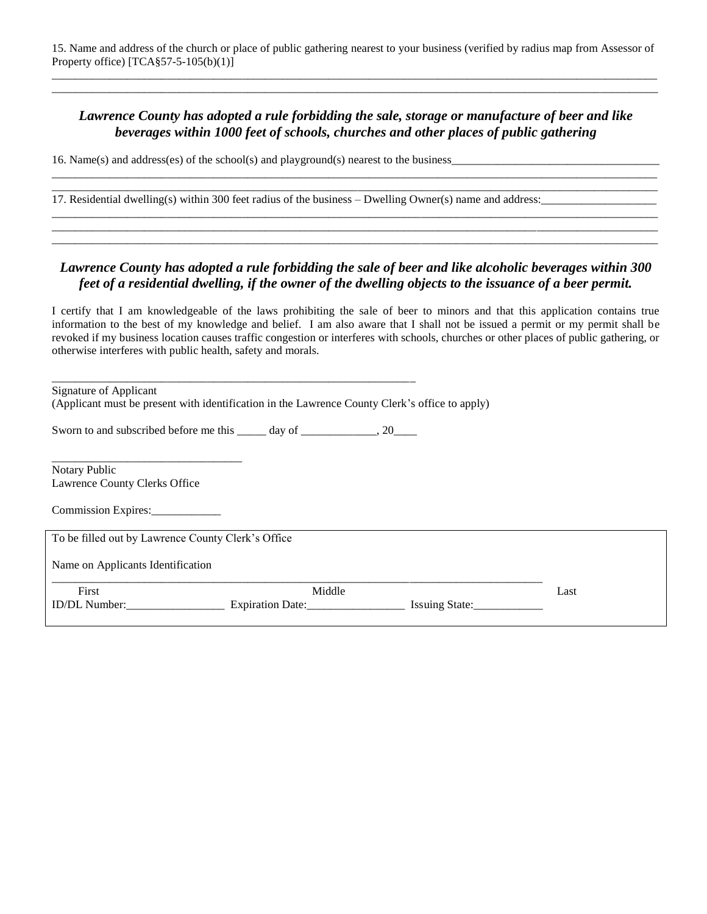\_\_\_\_\_\_\_\_\_\_\_\_\_\_\_\_\_\_\_\_\_\_\_\_\_\_\_\_\_\_\_\_\_\_\_\_\_\_\_\_\_\_\_\_\_\_\_\_\_\_\_\_\_\_\_\_\_\_\_\_\_\_\_\_\_\_\_\_\_\_\_\_\_\_\_\_\_\_\_\_\_\_\_\_\_\_\_\_\_\_\_\_\_\_\_\_\_\_\_\_\_\_\_\_\_

## *Lawrence County has adopted a rule forbidding the sale, storage or manufacture of beer and like beverages within 1000 feet of schools, churches and other places of public gathering*

\_\_\_\_\_\_\_\_\_\_\_\_\_\_\_\_\_\_\_\_\_\_\_\_\_\_\_\_\_\_\_\_\_\_\_\_\_\_\_\_\_\_\_\_\_\_\_\_\_\_\_\_\_\_\_\_\_\_\_\_\_\_\_\_\_\_\_\_\_\_\_\_\_\_\_\_\_\_\_\_\_\_\_\_\_\_\_\_\_\_\_\_\_\_\_\_\_\_\_\_\_\_\_\_\_ \_\_\_\_\_\_\_\_\_\_\_\_\_\_\_\_\_\_\_\_\_\_\_\_\_\_\_\_\_\_\_\_\_\_\_\_\_\_\_\_\_\_\_\_\_\_\_\_\_\_\_\_\_\_\_\_\_\_\_\_\_\_\_\_\_\_\_\_\_\_\_\_\_\_\_\_\_\_\_\_\_\_\_\_\_\_\_\_\_\_\_\_\_\_\_\_\_\_\_\_\_\_\_\_\_

\_\_\_\_\_\_\_\_\_\_\_\_\_\_\_\_\_\_\_\_\_\_\_\_\_\_\_\_\_\_\_\_\_\_\_\_\_\_\_\_\_\_\_\_\_\_\_\_\_\_\_\_\_\_\_\_\_\_\_\_\_\_\_\_\_\_\_\_\_\_\_\_\_\_\_\_\_\_\_\_\_\_\_\_\_\_\_\_\_\_\_\_\_\_\_\_\_\_\_\_\_\_\_\_\_ \_\_\_\_\_\_\_\_\_\_\_\_\_\_\_\_\_\_\_\_\_\_\_\_\_\_\_\_\_\_\_\_\_\_\_\_\_\_\_\_\_\_\_\_\_\_\_\_\_\_\_\_\_\_\_\_\_\_\_\_\_\_\_\_\_\_\_\_\_\_\_\_\_\_\_\_\_\_\_\_\_\_\_\_\_\_\_\_\_\_\_\_\_\_\_\_\_\_\_\_\_\_\_\_\_ \_\_\_\_\_\_\_\_\_\_\_\_\_\_\_\_\_\_\_\_\_\_\_\_\_\_\_\_\_\_\_\_\_\_\_\_\_\_\_\_\_\_\_\_\_\_\_\_\_\_\_\_\_\_\_\_\_\_\_\_\_\_\_\_\_\_\_\_\_\_\_\_\_\_\_\_\_\_\_\_\_\_\_\_\_\_\_\_\_\_\_\_\_\_\_\_\_\_\_\_\_\_\_\_\_

16. Name(s) and address(es) of the school(s) and playground(s) nearest to the business\_\_\_\_\_\_\_\_\_\_\_\_\_\_\_\_\_\_\_\_\_\_\_\_\_\_\_\_\_\_\_\_\_\_\_\_

17. Residential dwelling(s) within 300 feet radius of the business – Dwelling Owner(s) name and address:

## *Lawrence County has adopted a rule forbidding the sale of beer and like alcoholic beverages within 300 feet of a residential dwelling, if the owner of the dwelling objects to the issuance of a beer permit.*

I certify that I am knowledgeable of the laws prohibiting the sale of beer to minors and that this application contains true information to the best of my knowledge and belief. I am also aware that I shall not be issued a permit or my permit shall be revoked if my business location causes traffic congestion or interferes with schools, churches or other places of public gathering, or otherwise interferes with public health, safety and morals.

| Signature of Applicant<br>(Applicant must be present with identification in the Lawrence County Clerk's office to apply) |                  |        |                |
|--------------------------------------------------------------------------------------------------------------------------|------------------|--------|----------------|
| Sworn to and subscribed before me this _____ day of ______________, 20____                                               |                  |        |                |
| Notary Public<br>Lawrence County Clerks Office                                                                           |                  |        |                |
| Commission Expires:                                                                                                      |                  |        |                |
| To be filled out by Lawrence County Clerk's Office                                                                       |                  |        |                |
| Name on Applicants Identification                                                                                        |                  |        |                |
| First                                                                                                                    |                  | Middle | Last           |
| ID/DL Number:                                                                                                            | Expiration Date: |        | Issuing State: |